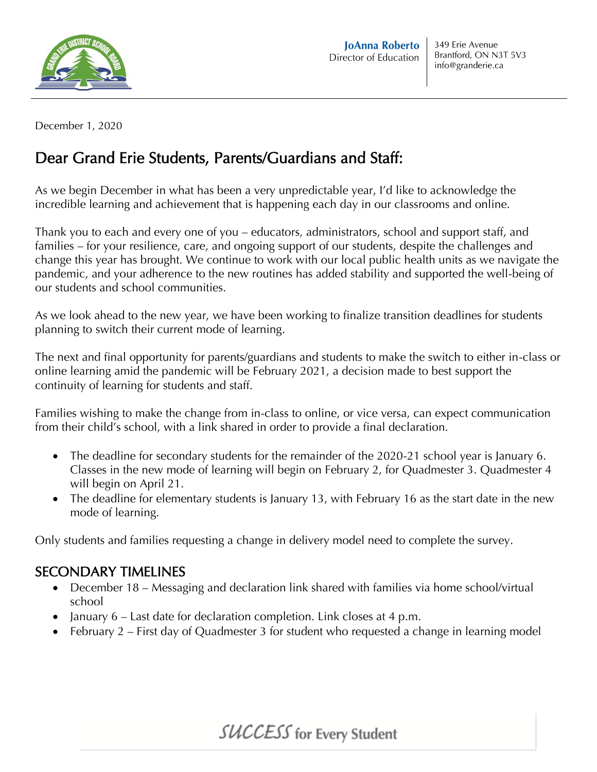

December 1, 2020

## Dear Grand Erie Students, Parents/Guardians and Staff:

As we begin December in what has been a very unpredictable year, I'd like to acknowledge the incredible learning and achievement that is happening each day in our classrooms and online.

Thank you to each and every one of you – educators, administrators, school and support staff, and families – for your resilience, care, and ongoing support of our students, despite the challenges and change this year has brought. We continue to work with our local public health units as we navigate the pandemic, and your adherence to the new routines has added stability and supported the well-being of our students and school communities.

As we look ahead to the new year, we have been working to finalize transition deadlines for students planning to switch their current mode of learning.

The next and final opportunity for parents/guardians and students to make the switch to either in-class or online learning amid the pandemic will be February 2021, a decision made to best support the continuity of learning for students and staff.

Families wishing to make the change from in-class to online, or vice versa, can expect communication from their child's school, with a link shared in order to provide a final declaration.

- The deadline for secondary students for the remainder of the 2020-21 school year is January 6. Classes in the new mode of learning will begin on February 2, for Quadmester 3. Quadmester 4 will begin on April 21.
- The deadline for elementary students is January 13, with February 16 as the start date in the new mode of learning.

Only students and families requesting a change in delivery model need to complete the survey.

## SECONDARY TIMELINES

- December 18 Messaging and declaration link shared with families via home school/virtual school
- January 6 Last date for declaration completion. Link closes at 4 p.m.
- February 2 First day of Quadmester 3 for student who requested a change in learning model